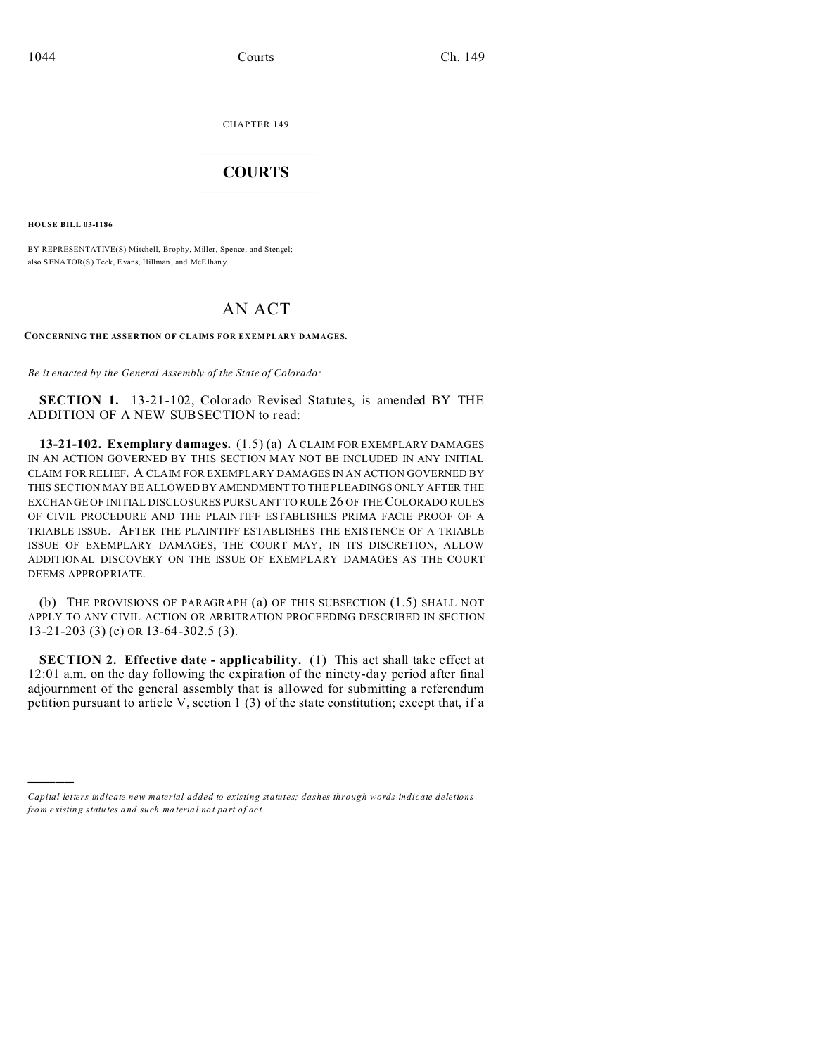CHAPTER 149  $\overline{\phantom{a}}$  , where  $\overline{\phantom{a}}$ 

## **COURTS**  $\_$

**HOUSE BILL 03-1186**

)))))

BY REPRESENTATIVE(S) Mitchell, Brophy, Miller, Spence, and Stengel; also SENATOR(S) Teck, Evans, Hillman, and McElhany.

## AN ACT

**CONCERNING THE ASSERTION OF CLAIMS FOR EXEMPLARY DAMAGES.**

*Be it enacted by the General Assembly of the State of Colorado:*

**SECTION 1.** 13-21-102, Colorado Revised Statutes, is amended BY THE ADDITION OF A NEW SUBSECTION to read:

**13-21-102. Exemplary damages.** (1.5) (a) A CLAIM FOR EXEMPLARY DAMAGES IN AN ACTION GOVERNED BY THIS SECTION MAY NOT BE INCLUDED IN ANY INITIAL CLAIM FOR RELIEF. A CLAIM FOR EXEMPLARY DAMAGES IN AN ACTION GOVERNED BY THIS SECTION MAY BE ALLOWED BY AMENDMENT TO THE PLEADINGS ONLY AFTER THE EXCHANGE OF INITIAL DISCLOSURES PURSUANT TO RULE 26 OF THE COLORADO RULES OF CIVIL PROCEDURE AND THE PLAINTIFF ESTABLISHES PRIMA FACIE PROOF OF A TRIABLE ISSUE. AFTER THE PLAINTIFF ESTABLISHES THE EXISTENCE OF A TRIABLE ISSUE OF EXEMPLARY DAMAGES, THE COURT MAY, IN ITS DISCRETION, ALLOW ADDITIONAL DISCOVERY ON THE ISSUE OF EXEMPLARY DAMAGES AS THE COURT DEEMS APPROPRIATE.

(b) THE PROVISIONS OF PARAGRAPH (a) OF THIS SUBSECTION (1.5) SHALL NOT APPLY TO ANY CIVIL ACTION OR ARBITRATION PROCEEDING DESCRIBED IN SECTION 13-21-203 (3) (c) OR 13-64-302.5 (3).

**SECTION 2. Effective date - applicability.** (1) This act shall take effect at 12:01 a.m. on the day following the expiration of the ninety-day period after final adjournment of the general assembly that is allowed for submitting a referendum petition pursuant to article V, section 1 (3) of the state constitution; except that, if a

*Capital letters indicate new material added to existing statutes; dashes through words indicate deletions from e xistin g statu tes a nd such ma teria l no t pa rt of ac t.*